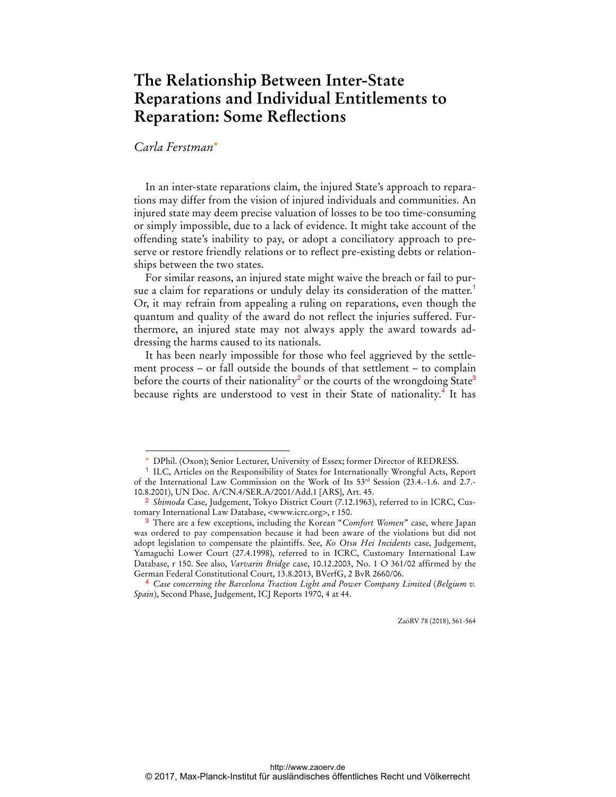## **The Relationship Between Inter-State Reparations and Individual Entitlements to Reparation: Some Reflections**

## *Carla Ferstman*\*

 $\overline{a}$ 

In an inter-state reparations claim, the injured State's approach to reparations may differ from the vision of injured individuals and communities. An injured state may deem precise valuation of losses to be too time-consuming or simply impossible, due to a lack of evidence. It might take account of the offending state's inability to pay, or adopt a conciliatory approach to preserve or restore friendly relations or to reflect pre-existing debts or relationships between the two states.

For similar reasons, an injured state might waive the breach or fail to pursue a claim for reparations or unduly delay its consideration of the matter.<sup>1</sup> Or, it may refrain from appealing a ruling on reparations, even though the quantum and quality of the award do not reflect the injuries suffered. Furthermore, an injured state may not always apply the award towards addressing the harms caused to its nationals.

It has been nearly impossible for those who feel aggrieved by the settlement process – or fall outside the bounds of that settlement – to complain before the courts of their nationality<sup>2</sup> or the courts of the wrongdoing State<sup>3</sup> because rights are understood to vest in their State of nationality.<sup>4</sup> It has

ZaöRV 78 (2018), 561-564

DPhil. (Oxon); Senior Lecturer, University of Essex; former Director of REDRESS.

<sup>&</sup>lt;sup>1</sup> ILC, Articles on the Responsibility of States for Internationally Wrongful Acts, Report of the International Law Commission on the Work of Its 53rd Session (23.4.-1.6. and 2.7.- 10.8.2001), UN Doc. A/CN.4/SER.A/2001/Add.1 [ARS], Art. 45.

<sup>2</sup> *Shimoda* Case, Judgement, Tokyo District Court (7.12.1963), referred to in ICRC, Customary International Law Database, <www.icrc.org>, r 150.

<sup>3</sup> There are a few exceptions, including the Korean "*Comfort Women*" case, where Japan was ordered to pay compensation because it had been aware of the violations but did not adopt legislation to compensate the plaintiffs. See, *Ko Otsu Hei Incidents* case, Judgement, Yamaguchi Lower Court (27.4.1998), referred to in ICRC, Customary International Law Database, r 150. See also, *Varvarin Bridge* case, 10.12.2003, No. 1 O 361/02 affirmed by the German Federal Constitutional Court, 13.8.2013, BVerfG, 2 BvR 2660/06.

<sup>4</sup> *Case concerning the Barcelona Traction Light and Power Company Limited* (*Belgium v. Spain*), Second Phase, Judgement, ICJ Reports 1970, 4 at 44.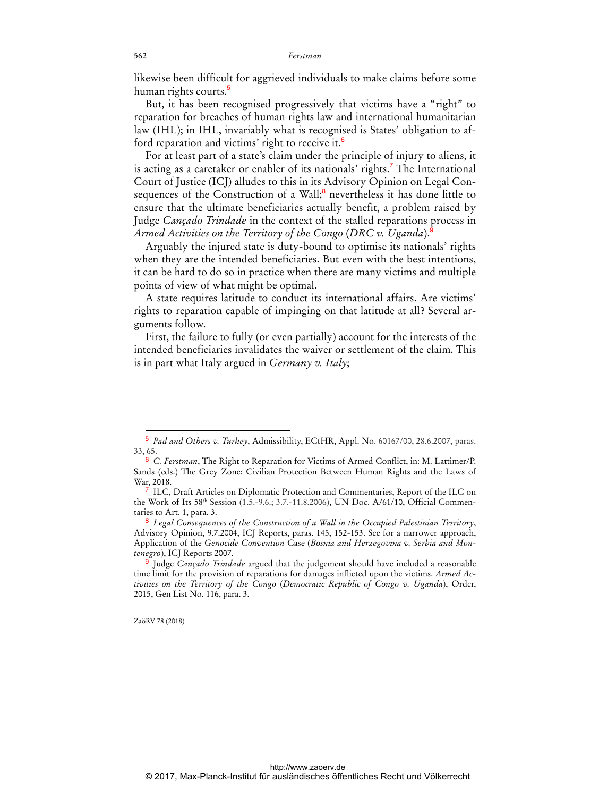likewise been difficult for aggrieved individuals to make claims before some human rights courts.<sup>5</sup>

But, it has been recognised progressively that victims have a "right" to reparation for breaches of human rights law and international humanitarian law (IHL); in IHL, invariably what is recognised is States' obligation to afford reparation and victims' right to receive it.<sup>6</sup>

For at least part of a state's claim under the principle of injury to aliens, it is acting as a caretaker or enabler of its nationals' rights.<sup>7</sup> The International Court of Justice (ICJ) alludes to this in its Advisory Opinion on Legal Consequences of the Construction of a Wall;<sup>8</sup> nevertheless it has done little to ensure that the ultimate beneficiaries actually benefit, a problem raised by Judge *Cançado Trindade* in the context of the stalled reparations process in *Armed Activities on the Territory of the Congo* (*DRC v. Uganda*).<sup>9</sup>

Arguably the injured state is duty-bound to optimise its nationals' rights when they are the intended beneficiaries. But even with the best intentions, it can be hard to do so in practice when there are many victims and multiple points of view of what might be optimal.

A state requires latitude to conduct its international affairs. Are victims' rights to reparation capable of impinging on that latitude at all? Several arguments follow.

First, the failure to fully (or even partially) account for the interests of the intended beneficiaries invalidates the waiver or settlement of the claim. This is in part what Italy argued in *Germany v. Italy*;

ZaöRV 78 (2018)

 $\overline{a}$ 

<sup>5</sup> *Pad and Others v. Turkey*, Admissibility, ECtHR, Appl. No. 60167/00, 28.6.2007, paras. 33, 65.

<sup>6</sup> *C. Ferstman*, The Right to Reparation for Victims of Armed Conflict, in: M. Lattimer/P. Sands (eds.) The Grey Zone: Civilian Protection Between Human Rights and the Laws of War, 2018.

ILC, Draft Articles on Diplomatic Protection and Commentaries, Report of the ILC on the Work of Its 58th Session (1.5.-9.6.; 3.7.-11.8.2006), UN Doc. A/61/10, Official Commentaries to Art. 1, para. 3.

<sup>8</sup> *Legal Consequences of the Construction of a Wall in the Occupied Palestinian Territory*, Advisory Opinion, 9.7.2004, ICJ Reports, paras. 145, 152-153. See for a narrower approach, Application of the *Genocide Convention* Case (*Bosnia and Herzegovina v. Serbia and Montenegro*), ICJ Reports 2007.

<sup>9</sup> Judge *Cançado Trindade* argued that the judgement should have included a reasonable time limit for the provision of reparations for damages inflicted upon the victims. *Armed Activities on the Territory of the Congo* (*Democratic Republic of Congo v. Uganda*), Order, 2015, Gen List No. 116, para. 3.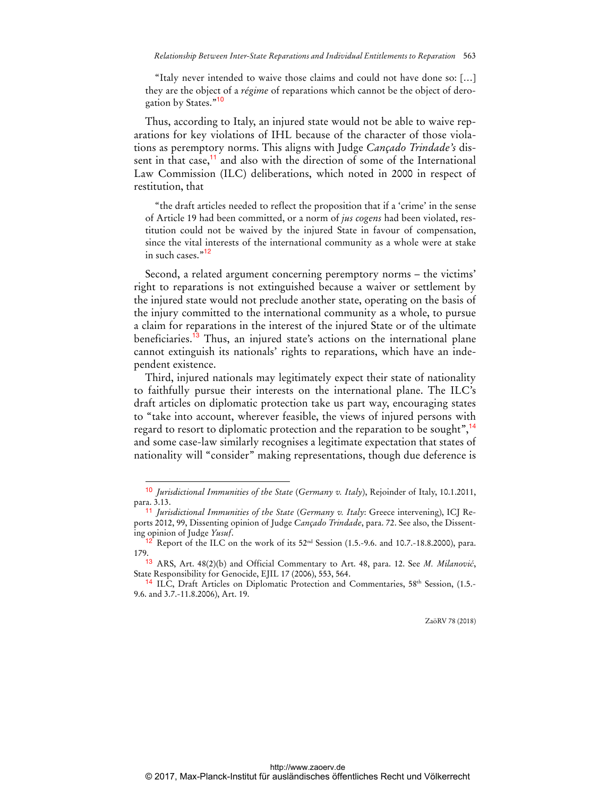"Italy never intended to waive those claims and could not have done so: […] they are the object of a *régime* of reparations which cannot be the object of derogation by States."<sup>10</sup>

Thus, according to Italy, an injured state would not be able to waive reparations for key violations of IHL because of the character of those violations as peremptory norms. This aligns with Judge *Cançado Trindade's* dissent in that case,<sup>11</sup> and also with the direction of some of the International Law Commission (ILC) deliberations, which noted in 2000 in respect of restitution, that

"the draft articles needed to reflect the proposition that if a 'crime' in the sense of Article 19 had been committed, or a norm of *jus cogens* had been violated, restitution could not be waived by the injured State in favour of compensation, since the vital interests of the international community as a whole were at stake in such cases."<sup>12</sup>

Second, a related argument concerning peremptory norms – the victims' right to reparations is not extinguished because a waiver or settlement by the injured state would not preclude another state, operating on the basis of the injury committed to the international community as a whole, to pursue a claim for reparations in the interest of the injured State or of the ultimate beneficiaries.<sup>13</sup> Thus, an injured state's actions on the international plane cannot extinguish its nationals' rights to reparations, which have an independent existence.

Third, injured nationals may legitimately expect their state of nationality to faithfully pursue their interests on the international plane. The ILC's draft articles on diplomatic protection take us part way, encouraging states to "take into account, wherever feasible, the views of injured persons with regard to resort to diplomatic protection and the reparation to be sought",<sup>14</sup> and some case-law similarly recognises a legitimate expectation that states of nationality will "consider" making representations, though due deference is

 $\overline{a}$ 

ZaöRV 78 (2018)

<sup>10</sup> *Jurisdictional Immunities of the State* (*Germany v. Italy*), Rejoinder of Italy, 10.1.2011, para. 3.13.

<sup>11</sup> *Jurisdictional Immunities of the State* (*Germany v. Italy*: Greece intervening), ICJ Reports 2012, 99, Dissenting opinion of Judge *Cançado Trindade*, para. 72. See also, the Dissenting opinion of Judge *Yusuf*.

 $12$  Report of the ILC on the work of its 52<sup>nd</sup> Session (1.5.-9.6. and 10.7.-18.8.2000), para. 179.

<sup>13</sup> ARS, Art. 48(2)(b) and Official Commentary to Art. 48, para. 12. See *M. Milanović*, State Responsibility for Genocide, EJIL 17 (2006), 553, 564.

<sup>&</sup>lt;sup>14</sup> ILC, Draft Articles on Diplomatic Protection and Commentaries,  $58<sup>th</sup>$  Session, (1.5.-9.6. and 3.7.-11.8.2006), Art. 19.